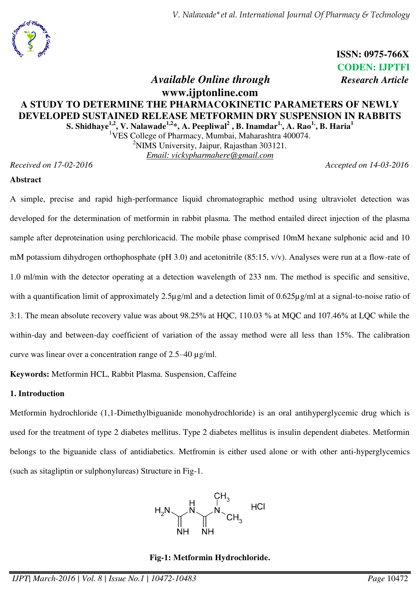*V. Nalawade\*et al. International Journal Of Pharmacy & Technology* 

**ISSN: 0975-766X CODEN: IJPTFI** *Available Online through Research Article*

# **www.ijptonline.com A STUDY TO DETERMINE THE PHARMACOKINETIC PARAMETERS OF NEWLY DEVELOPED SUSTAINED RELEASE METFORMIN DRY SUSPENSION IN RABBITS S. Shidhaye1,2, V. Nalawade1,2\*, A. Peepliwal<sup>2</sup> , B. Inamdar1,, A. Rao1,, B. Haria<sup>1</sup>**

<sup>1</sup>VES College of Pharmacy, Mumbai, Maharashtra 400074. <sup>2</sup>NIMS University, Jaipur, Rajasthan 303121. *Email: vickypharmahere@gmail.com*

*Received on 17-02-2016 Accepted on 14-03-2016*

### **Abstract**

A simple, precise and rapid high-performance liquid chromatographic method using ultraviolet detection was developed for the determination of metformin in rabbit plasma. The method entailed direct injection of the plasma sample after deproteination using perchloricacid. The mobile phase comprised 10mM hexane sulphonic acid and 10 mM potassium dihydrogen orthophosphate (pH 3.0) and acetonitrile (85:15, v/v). Analyses were run at a flow-rate of 1.0 ml/min with the detector operating at a detection wavelength of 233 nm. The method is specific and sensitive, with a quantification limit of approximately 2.5µg/ml and a detection limit of 0.625µg/ml at a signal-to-noise ratio of 3:1. The mean absolute recovery value was about 98.25% at HQC, 110.03 % at MQC and 107.46% at LQC while the within-day and between-day coefficient of variation of the assay method were all less than 15%. The calibration curve was linear over a concentration range of 2.5–40 µg/ml.

**Keywords:** Metformin HCL, Rabbit Plasma. Suspension, Caffeine

## **1. Introduction**

Metformin hydrochloride (1,1-Dimethylbiguanide monohydrochloride) is an oral antihyperglycemic drug which is used for the treatment of type 2 diabetes mellitus. Type 2 diabetes mellitus is insulin dependent diabetes. Metformin belongs to the biguanide class of antidiabetics. Metfromin is either used alone or with other anti-hyperglycemics (such as sitagliptin or sulphonylureas) Structure in Fig-1.



## **Fig-1: Metformin Hydrochloride.**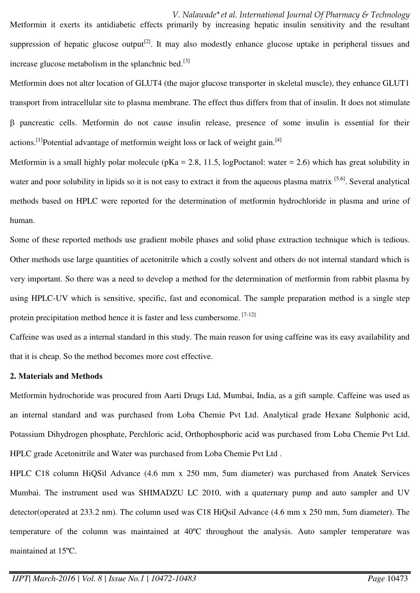*V. Nalawade\*et al. International Journal Of Pharmacy & Technology*  Metformin it exerts its antidiabetic effects primarily by increasing hepatic insulin sensitivity and the resultant suppression of hepatic glucose output<sup>[2]</sup>. It may also modestly enhance glucose uptake in peripheral tissues and increase glucose metabolism in the splanchnic bed.<sup>[3]</sup>

Metformin does not alter location of GLUT4 (the major glucose transporter in skeletal muscle), they enhance GLUT1 transport from intracellular site to plasma membrane. The effect thus differs from that of insulin. It does not stimulate pancreatic cells. Metformin do not cause insulin release, presence of some insulin is essential for their actions.<sup>[1]</sup>Potential advantage of metformin weight loss or lack of weight gain.<sup>[4]</sup>

Metformin is a small highly polar molecule ( $pKa = 2.8$ , 11.5, logPoctanol: water = 2.6) which has great solubility in water and poor solubility in lipids so it is not easy to extract it from the aqueous plasma matrix [5,6]. Several analytical methods based on HPLC were reported for the determination of metformin hydrochloride in plasma and urine of human.

Some of these reported methods use gradient mobile phases and solid phase extraction technique which is tedious. Other methods use large quantities of acetonitrile which a costly solvent and others do not internal standard which is very important. So there was a need to develop a method for the determination of metformin from rabbit plasma by using HPLC-UV which is sensitive, specific, fast and economical. The sample preparation method is a single step protein precipitation method hence it is faster and less cumbersome. [7-12]

Caffeine was used as a internal standard in this study. The main reason for using caffeine was its easy availability and that it is cheap. So the method becomes more cost effective.

## **2. Materials and Methods**

Metformin hydrochoride was procured from Aarti Drugs Ltd, Mumbai, India, as a gift sample. Caffeine was used as an internal standard and was purchased from Loba Chemie Pvt Ltd. Analytical grade Hexane Sulphonic acid, Potassium Dihydrogen phosphate, Perchloric acid, Orthophosphoric acid was purchased from Loba Chemie Pvt Ltd. HPLC grade Acetonitrile and Water was purchased from Loba Chemie Pvt Ltd .

HPLC C18 column HiQSil Advance (4.6 mm x 250 mm, 5um diameter) was purchased from Anatek Services Mumbai. The instrument used was SHIMADZU LC 2010, with a quaternary pump and auto sampler and UV detector(operated at 233.2 nm). The column used was C18 HiQsil Advance (4.6 mm x 250 mm, 5um diameter). The temperature of the column was maintained at 40ºC throughout the analysis. Auto sampler temperature was maintained at 15ºC.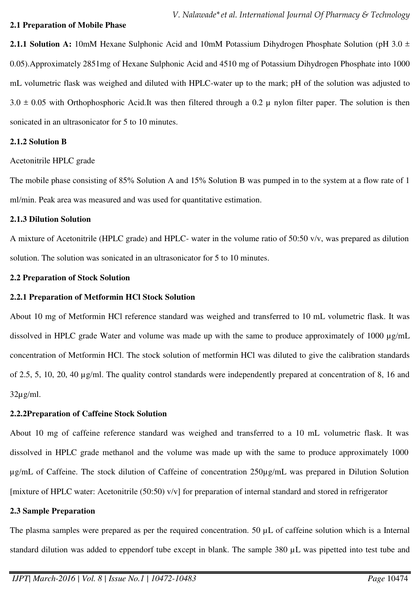### **2.1 Preparation of Mobile Phase**

**2.1.1 Solution A:** 10mM Hexane Sulphonic Acid and 10mM Potassium Dihydrogen Phosphate Solution (pH 3.0  $\pm$ 0.05).Approximately 2851mg of Hexane Sulphonic Acid and 4510 mg of Potassium Dihydrogen Phosphate into 1000 mL volumetric flask was weighed and diluted with HPLC-water up to the mark; pH of the solution was adjusted to  $3.0 \pm 0.05$  with Orthophosphoric Acid.It was then filtered through a 0.2  $\mu$  nylon filter paper. The solution is then sonicated in an ultrasonicator for 5 to 10 minutes.

### **2.1.2 Solution B**

Acetonitrile HPLC grade

The mobile phase consisting of 85% Solution A and 15% Solution B was pumped in to the system at a flow rate of 1 ml/min. Peak area was measured and was used for quantitative estimation.

### **2.1.3 Dilution Solution**

A mixture of Acetonitrile (HPLC grade) and HPLC- water in the volume ratio of 50:50 v/v, was prepared as dilution solution. The solution was sonicated in an ultrasonicator for 5 to 10 minutes.

### **2.2 Preparation of Stock Solution**

## **2.2.1 Preparation of Metformin HCl Stock Solution**

About 10 mg of Metformin HCl reference standard was weighed and transferred to 10 mL volumetric flask. It was dissolved in HPLC grade Water and volume was made up with the same to produce approximately of 1000  $\mu$ g/mL concentration of Metformin HCl. The stock solution of metformin HCl was diluted to give the calibration standards of 2.5, 5, 10, 20, 40 µg/ml. The quality control standards were independently prepared at concentration of 8, 16 and  $32\mu$ g/ml.

## **2.2.2Preparation of Caffeine Stock Solution**

About 10 mg of caffeine reference standard was weighed and transferred to a 10 mL volumetric flask. It was dissolved in HPLC grade methanol and the volume was made up with the same to produce approximately 1000 µg/mL of Caffeine. The stock dilution of Caffeine of concentration 250µg/mL was prepared in Dilution Solution [mixture of HPLC water: Acetonitrile (50:50) v/v] for preparation of internal standard and stored in refrigerator

## **2.3 Sample Preparation**

The plasma samples were prepared as per the required concentration. 50  $\mu$ L of caffeine solution which is a Internal standard dilution was added to eppendorf tube except in blank. The sample 380  $\mu$ L was pipetted into test tube and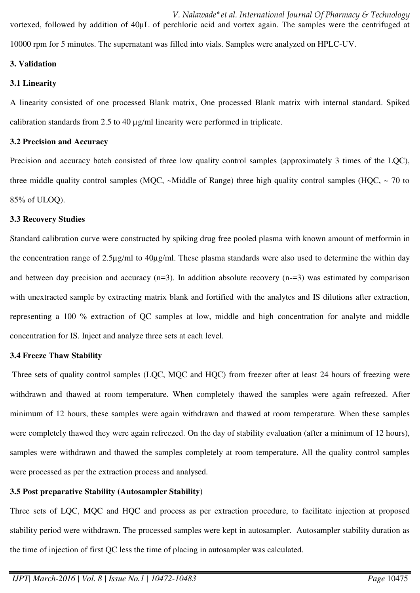*V. Nalawade\*et al. International Journal Of Pharmacy & Technology*  vortexed, followed by addition of 40µL of perchloric acid and vortex again. The samples were the centrifuged at 10000 rpm for 5 minutes. The supernatant was filled into vials. Samples were analyzed on HPLC-UV.

## **3. Validation**

# **3.1 Linearity**

A linearity consisted of one processed Blank matrix, One processed Blank matrix with internal standard. Spiked calibration standards from 2.5 to 40 µg/ml linearity were performed in triplicate.

## **3.2 Precision and Accuracy**

Precision and accuracy batch consisted of three low quality control samples (approximately 3 times of the LQC), three middle quality control samples (MQC,  $\sim$ Middle of Range) three high quality control samples (HQC,  $\sim$  70 to 85% of ULOQ).

## **3.3 Recovery Studies**

Standard calibration curve were constructed by spiking drug free pooled plasma with known amount of metformin in the concentration range of 2.5µg/ml to 40µg/ml. These plasma standards were also used to determine the within day and between day precision and accuracy (n=3). In addition absolute recovery (n-=3) was estimated by comparison with unextracted sample by extracting matrix blank and fortified with the analytes and IS dilutions after extraction, representing a 100 % extraction of QC samples at low, middle and high concentration for analyte and middle concentration for IS. Inject and analyze three sets at each level.

# **3.4 Freeze Thaw Stability**

Three sets of quality control samples (LOC, MOC and HOC) from freezer after at least 24 hours of freezing were withdrawn and thawed at room temperature. When completely thawed the samples were again refreezed. After minimum of 12 hours, these samples were again withdrawn and thawed at room temperature. When these samples were completely thawed they were again refreezed. On the day of stability evaluation (after a minimum of 12 hours), samples were withdrawn and thawed the samples completely at room temperature. All the quality control samples were processed as per the extraction process and analysed.

# **3.5 Post preparative Stability (Autosampler Stability)**

Three sets of LQC, MQC and HQC and process as per extraction procedure, to facilitate injection at proposed stability period were withdrawn. The processed samples were kept in autosampler. Autosampler stability duration as the time of injection of first QC less the time of placing in autosampler was calculated.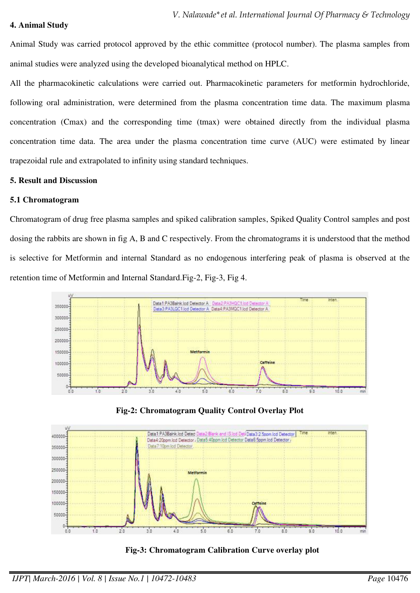#### **4. Animal Study**

Animal Study was carried protocol approved by the ethic committee (protocol number). The plasma samples from animal studies were analyzed using the developed bioanalytical method on HPLC.

All the pharmacokinetic calculations were carried out. Pharmacokinetic parameters for metformin hydrochloride, following oral administration, were determined from the plasma concentration time data. The maximum plasma concentration (Cmax) and the corresponding time (tmax) were obtained directly from the individual plasma concentration time data. The area under the plasma concentration time curve (AUC) were estimated by linear trapezoidal rule and extrapolated to infinity using standard techniques.

#### **5. Result and Discussion**

#### **5.1 Chromatogram**

Chromatogram of drug free plasma samples and spiked calibration samples, Spiked Quality Control samples and post dosing the rabbits are shown in fig A, B and C respectively. From the chromatograms it is understood that the method is selective for Metformin and internal Standard as no endogenous interfering peak of plasma is observed at the retention time of Metformin and Internal Standard.Fig-2, Fig-3, Fig 4.







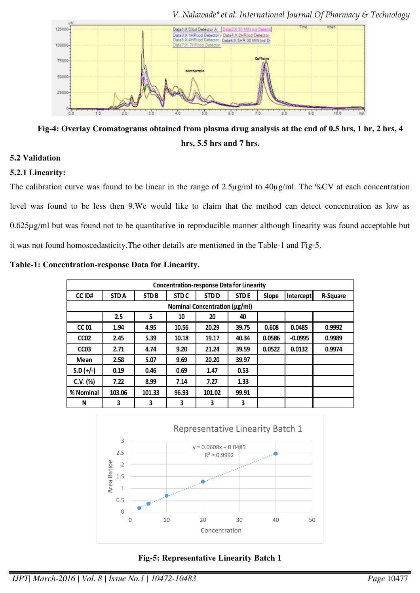

*V. Nalawade\*et al. International Journal Of Pharmacy & Technology* 

**Fig-4: Overlay Cromatograms obtained from plasma drug analysis at the end of 0.5 hrs, 1 hr, 2 hrs, 4 hrs, 5.5 hrs and 7 hrs.** 

## **5.2 Validation**

## **5.2.1 Linearity:**

The calibration curve was found to be linear in the range of 2.5µg/ml to 40µg/ml. The %CV at each concentration level was found to be less then 9.We would like to claim that the method can detect concentration as low as 0.625µg/ml but was found not to be quantitative in reproducible manner although linearity was found acceptable but it was not found homoscedasticity.The other details are mentioned in the Table-1 and Fig-5.

**Table-1: Concentration-response Data for Linearity.** 

|                  | <b>Concentration-response Data for Linearity</b> |             |                  |                               |             |        |                  |          |
|------------------|--------------------------------------------------|-------------|------------------|-------------------------------|-------------|--------|------------------|----------|
| CC ID#           | <b>STDA</b>                                      | <b>STDB</b> | STD <sub>C</sub> | <b>STDD</b>                   | <b>STDE</b> | Slope  | <b>Intercept</b> | R-Square |
|                  |                                                  |             |                  | Nominal Concentration (μg/ml) |             |        |                  |          |
|                  | 2.5                                              | 5           | 10               | 20                            | 40          |        |                  |          |
| <b>CC 01</b>     | 1.94                                             | 4.95        | 10.56            | 20.29                         | 39.75       | 0.608  | 0.0485           | 0.9992   |
| CC <sub>02</sub> | 2.45                                             | 5.39        | 10.18            | 19.17                         | 40.34       | 0.0586 | $-0.0995$        | 0.9989   |
| CC <sub>03</sub> | 2.71                                             | 4.74        | 9.20             | 21.24                         | 39.59       | 0.0522 | 0.0132           | 0.9974   |
| <b>Mean</b>      | 2.58                                             | 5.07        | 9.69             | 20.20                         | 39.97       |        |                  |          |
| $S.D (+/-)$      | 0.19                                             | 0.46        | 0.69             | 1.47                          | 0.53        |        |                  |          |
| C.V. (%)         | 7.22                                             | 8.99        | 7.14             | 7.27                          | 1.33        |        |                  |          |
| % Nominal        | 103.06                                           | 101.33      | 96.93            | 101.02                        | 99.91       |        |                  |          |
| N                | 3                                                | 3           | 3                | 3                             | 3           |        |                  |          |



**Fig-5: Representative Linearity Batch 1**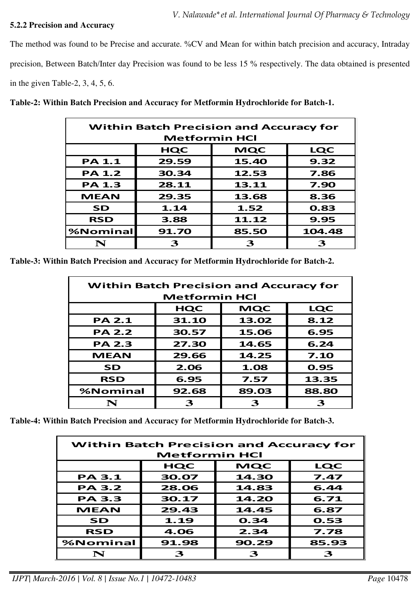## **5.2.2 Precision and Accuracy**

The method was found to be Precise and accurate. %CV and Mean for within batch precision and accuracy, Intraday precision, Between Batch/Inter day Precision was found to be less 15 % respectively. The data obtained is presented in the given Table-2, 3, 4, 5, 6.

**Table-2: Within Batch Precision and Accuracy for Metformin Hydrochloride for Batch-1.** 

| <b>Within Batch Precision and Accuracy for</b> |                      |            |            |  |
|------------------------------------------------|----------------------|------------|------------|--|
|                                                | <b>Metformin HCI</b> |            |            |  |
|                                                | <b>HQC</b>           | <b>MQC</b> | <b>LQC</b> |  |
| <b>PA 1.1</b>                                  | 29.59                | 15.40      | 9.32       |  |
| <b>PA 1.2</b>                                  | 30.34                | 12.53      | 7.86       |  |
| <b>PA 1.3</b>                                  | 28.11                | 13.11      | 7.90       |  |
| <b>MEAN</b>                                    | 29.35                | 13.68      | 8.36       |  |
| <b>SD</b>                                      | 1.14                 | 1.52       | 0.83       |  |
| <b>RSD</b>                                     | 3.88                 | 11.12      | 9.95       |  |
| %Nominal                                       | 91.70                | 85.50      | 104.48     |  |
|                                                | 3                    |            | З          |  |

**Table-3: Within Batch Precision and Accuracy for Metformin Hydrochloride for Batch-2.** 

| <b>Within Batch Precision and Accuracy for</b><br><b>Metformin HCI</b> |            |            |            |  |
|------------------------------------------------------------------------|------------|------------|------------|--|
|                                                                        | <b>HQC</b> | <b>MQC</b> | <b>LQC</b> |  |
| <b>PA 2.1</b>                                                          | 31.10      | 13.02      | 8.12       |  |
| <b>PA 2.2</b>                                                          | 30.57      | 15.06      | 6.95       |  |
| <b>PA 2.3</b>                                                          | 27.30      | 14.65      | 6.24       |  |
| <b>MEAN</b>                                                            | 29.66      | 14.25      | 7.10       |  |
| SD                                                                     | 2.06       | 1.08       | 0.95       |  |
| <b>RSD</b>                                                             | 6.95       | 7.57       | 13.35      |  |
| %Nominal                                                               | 92.68      | 89.03      | 88.80      |  |
| N                                                                      | 3          | 3          | 3          |  |

**Table-4: Within Batch Precision and Accuracy for Metformin Hydrochloride for Batch-3.** 

| <b>Within Batch Precision and Accuracy for</b> |                      |       |       |  |
|------------------------------------------------|----------------------|-------|-------|--|
|                                                | <b>Metformin HCI</b> |       |       |  |
|                                                | HQC                  | MQC   | LQC   |  |
| <b>PA 3.1</b>                                  | 30.07                | 14.30 | 7.47  |  |
| <b>PA 3.2</b>                                  | 28.06                | 14.83 | 6.44  |  |
| <b>PA 3.3</b>                                  | 30.17                | 14.20 | 6.71  |  |
| <b>MEAN</b>                                    | 29.43                | 14.45 | 6.87  |  |
| SD                                             | 1.19                 | 0.34  | 0.53  |  |
| <b>RSD</b>                                     | 4.06                 | 2.34  | 7.78  |  |
| %Nominal                                       | 91.98                | 90.29 | 85.93 |  |
| N                                              | З                    | З     | ร     |  |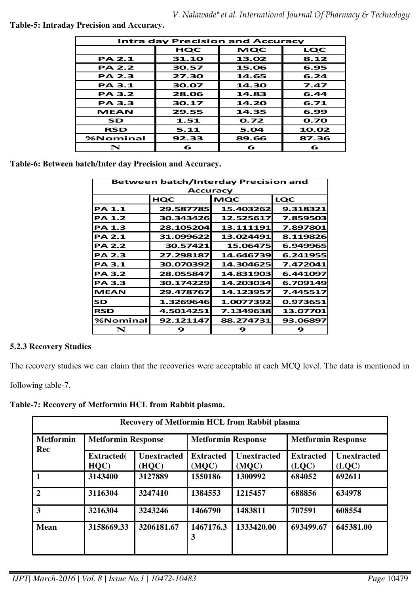**Table-5: Intraday Precision and Accuracy.** 

|               | <b>Intra day Precision and Accuracy</b> |       |       |  |  |
|---------------|-----------------------------------------|-------|-------|--|--|
|               | HQC                                     | MQC   | LQC   |  |  |
| <b>PA 2.1</b> | 31.10                                   | 13.02 | 8.12  |  |  |
| <b>PA 2.2</b> | 30.57                                   | 15.06 | 6.95  |  |  |
| <b>PA 2.3</b> | 27.30                                   | 14.65 | 6.24  |  |  |
| <b>PA 3.1</b> | 30.07                                   | 14.30 | 7.47  |  |  |
| <b>PA 3.2</b> | 28.06                                   | 14.83 | 6.44  |  |  |
| <b>PA 3.3</b> | 30.17                                   | 14.20 | 6.71  |  |  |
| <b>MEAN</b>   | 29.55                                   | 14.35 | 6.99  |  |  |
| SD            | 1.51                                    | 0.72  | 0.70  |  |  |
| <b>RSD</b>    | 5.11                                    | 5.04  | 10.02 |  |  |
| %Nominal      | 92.33                                   | 89.66 | 87.36 |  |  |
| N             | 6                                       | 6     | 6     |  |  |

**Table-6: Between batch/Inter day Precision and Accuracy.**

| <b>Between batch/Interday Precision and</b><br><b>Accuracy</b> |                                        |           |          |  |  |  |
|----------------------------------------------------------------|----------------------------------------|-----------|----------|--|--|--|
|                                                                | <b>MQC</b><br><b>LQC</b><br><b>HQC</b> |           |          |  |  |  |
| <b>PA 1.1</b>                                                  | 29.587785                              | 15.403262 | 9.318321 |  |  |  |
| <b>PA 1.2</b>                                                  | 30.343426                              | 12.525617 | 7.859503 |  |  |  |
| <b>PA 1.3</b>                                                  | 28.105204                              | 13.111191 | 7.897801 |  |  |  |
| <b>PA 2.1</b>                                                  | 31.099622                              | 13.024491 | 8.119826 |  |  |  |
| <b>PA 2.2</b>                                                  | 30.57421                               | 15.06475  | 6.949965 |  |  |  |
| <b>PA 2.3</b>                                                  | 27.298187                              | 14.646739 | 6.241955 |  |  |  |
| <b>PA 3.1</b>                                                  | 30.070392                              | 14.304625 | 7.472041 |  |  |  |
| <b>PA 3.2</b>                                                  | 28.055847                              | 14.831903 | 6.441097 |  |  |  |
| <b>PA 3.3</b>                                                  | 30.174229                              | 14.203034 | 6.709149 |  |  |  |
| <b>MEAN</b>                                                    | 29.478767                              | 14.123957 | 7.445517 |  |  |  |
| <b>SD</b>                                                      | 1.3269646                              | 1.0077392 | 0.973651 |  |  |  |
| <b>RSD</b>                                                     | 4.5014251                              | 7.1349638 | 13.07701 |  |  |  |
| %Nominal                                                       | 92.121147                              | 88.274731 | 93.06897 |  |  |  |
| N                                                              | 9                                      | 9         | 9        |  |  |  |

# **5.2.3 Recovery Studies**

The recovery studies we can claim that the recoveries were acceptable at each MCQ level. The data is mentioned in

following table-7.

**Table-7: Recovery of Metformin HCL from Rabbit plasma.** 

| <b>Recovery of Metformin HCL from Rabbit plasma</b> |                           |                             |                           |                             |                           |                             |
|-----------------------------------------------------|---------------------------|-----------------------------|---------------------------|-----------------------------|---------------------------|-----------------------------|
| <b>Metformin</b><br>Rec                             | <b>Metformin Response</b> |                             | <b>Metformin Response</b> |                             | <b>Metformin Response</b> |                             |
|                                                     | <b>Extracted</b> (<br>HQC | <b>Unextracted</b><br>(HQC) | <b>Extracted</b><br>(MQC) | <b>Unextracted</b><br>(MQC) | <b>Extracted</b><br>(LOC) | <b>Unextracted</b><br>(LOC) |
| $\blacksquare$                                      | 3143400                   | 3127889                     | 1550186                   | 1300992                     | 684052                    | 692611                      |
| $\overline{2}$                                      | 3116304                   | 3247410                     | 1384553                   | 1215457                     | 688856                    | 634978                      |
| $\overline{\mathbf{3}}$                             | 3216304                   | 3243246                     | 1466790                   | 1483811                     | 707591                    | 608554                      |
| <b>Mean</b>                                         | 3158669.33                | 3206181.67                  | 1467176.3<br>3            | 1333420.00                  | 693499.67                 | 645381.00                   |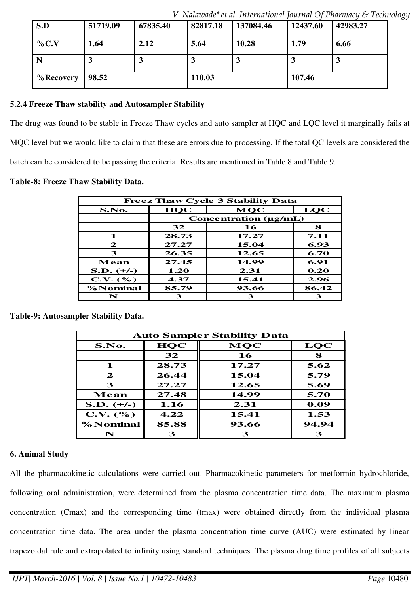| S.D        | 51719.09 | 67835.40 | 82817.18 | 137084.46 | 12437.60     | 42983.27 |
|------------|----------|----------|----------|-----------|--------------|----------|
| $\%$ C.V   | 1.64     | 2.12     | 5.64     | 10.28     | 1.79         | 6.66     |
| N          |          | J        | J        |           | $\mathbf{J}$ |          |
| % Recovery | 98.52    |          | 110.03   |           | 107.46       |          |

*V. Nalawade\*et al. International Journal Of Pharmacy & Technology* 

### **5.2.4 Freeze Thaw stability and Autosampler Stability**

The drug was found to be stable in Freeze Thaw cycles and auto sampler at HQC and LQC level it marginally fails at MQC level but we would like to claim that these are errors due to processing. If the total QC levels are considered the batch can be considered to be passing the criteria. Results are mentioned in Table 8 and Table 9.

#### **Table-8: Freeze Thaw Stability Data.**

|              |                            | <b>Freez Thaw Cycle 3 Stability Data</b> |       |  |  |  |
|--------------|----------------------------|------------------------------------------|-------|--|--|--|
| S.No.        | LQC<br>HQC<br>MOC          |                                          |       |  |  |  |
|              | Concentration $(\mu g/mL)$ |                                          |       |  |  |  |
|              | 32                         | 16                                       | 8     |  |  |  |
| 1            | 28.73                      | 17.27                                    | 7.11  |  |  |  |
| $\mathbf{z}$ | 27.27                      | 15.04                                    | 6.93  |  |  |  |
| 3            | 26.35                      | 12.65                                    | 6.70  |  |  |  |
| Mean         | 27.45                      | 14.99                                    | 6.91  |  |  |  |
| $S.D. (+/-)$ | 1.20                       | 2.31                                     | 0.20  |  |  |  |
| C.V. (%)     | 4.37                       | 15.41                                    | 2.96  |  |  |  |
| % Nominal    | 85.79                      | 93.66                                    | 86.42 |  |  |  |
| N            | 3                          | З                                        | 3     |  |  |  |

**Table-9: Autosampler Stability Data.** 

| <b>Auto Sampler Stability Data</b> |            |            |       |  |  |
|------------------------------------|------------|------------|-------|--|--|
| S.No.                              | <b>HQC</b> | <b>MQC</b> | LQC   |  |  |
|                                    | 32         | 16         | 8     |  |  |
| 1                                  | 28.73      | 17.27      | 5.62  |  |  |
| $\mathbf{z}$                       | 26.44      | 15.04      | 5.79  |  |  |
| 3                                  | 27.27      | 12.65      | 5.69  |  |  |
| Mean                               | 27.48      | 14.99      | 5.70  |  |  |
| $S.D. (+/-)$                       | 1.16       | 2.31       | 0.09  |  |  |
| C.V. (%)                           | 4.22       | 15.41      | 1.53  |  |  |
| % Nominal                          | 85.88      | 93.66      | 94.94 |  |  |
| N                                  | 3          | З          | З     |  |  |

## **6. Animal Study**

All the pharmacokinetic calculations were carried out. Pharmacokinetic parameters for metformin hydrochloride, following oral administration, were determined from the plasma concentration time data. The maximum plasma concentration (Cmax) and the corresponding time (tmax) were obtained directly from the individual plasma concentration time data. The area under the plasma concentration time curve (AUC) were estimated by linear trapezoidal rule and extrapolated to infinity using standard techniques. The plasma drug time profiles of all subjects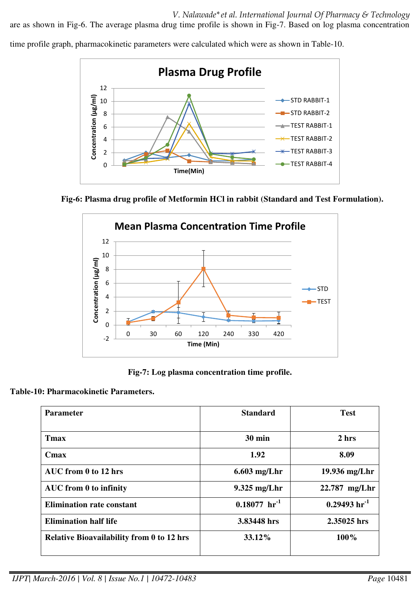*V. Nalawade\*et al. International Journal Of Pharmacy & Technology* 

are as shown in Fig-6. The average plasma drug time profile is shown in Fig-7. Based on log plasma concentration

time profile graph, pharmacokinetic parameters were calculated which were as shown in Table-10.



**Fig-6: Plasma drug profile of Metformin HCl in rabbit (Standard and Test Formulation).** 



**Fig-7: Log plasma concentration time profile.** 

# **Table-10: Pharmacokinetic Parameters.**

| Parameter                                        | <b>Standard</b>      | <b>Test</b>                  |
|--------------------------------------------------|----------------------|------------------------------|
|                                                  |                      |                              |
| <b>T</b> max                                     | <b>30 min</b>        | 2 <sub>hrs</sub>             |
| Cmax                                             | 1.92                 | 8.09                         |
| AUC from 0 to 12 hrs                             | $6.603$ mg/Lhr       | 19.936 mg/Lhr                |
| AUC from 0 to infinity                           | $9.325$ mg/Lhr       | $22.787$ mg/Lhr              |
| <b>Elimination rate constant</b>                 | $0.18077 \; hr^{-1}$ | $0.29493 \,\mathrm{hr}^{-1}$ |
| <b>Elimination half life</b>                     | 3.83448 hrs          | 2.35025 hrs                  |
| <b>Relative Bioavailability from 0 to 12 hrs</b> | 33.12%               | 100%                         |
|                                                  |                      |                              |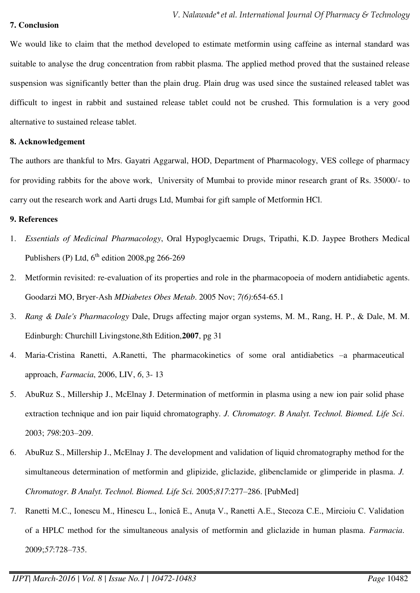#### **7. Conclusion**

We would like to claim that the method developed to estimate metformin using caffeine as internal standard was suitable to analyse the drug concentration from rabbit plasma. The applied method proved that the sustained release suspension was significantly better than the plain drug. Plain drug was used since the sustained released tablet was difficult to ingest in rabbit and sustained release tablet could not be crushed. This formulation is a very good alternative to sustained release tablet.

## **8. Acknowledgement**

The authors are thankful to Mrs. Gayatri Aggarwal, HOD, Department of Pharmacology, VES college of pharmacy for providing rabbits for the above work, University of Mumbai to provide minor research grant of Rs. 35000/- to carry out the research work and Aarti drugs Ltd, Mumbai for gift sample of Metformin HCl.

## **9. References**

- 1. *Essentials of Medicinal Pharmacology*, Oral Hypoglycaemic Drugs, Tripathi, K.D. Jaypee Brothers Medical Publishers (P) Ltd,  $6^{th}$  edition 2008,pg 266-269
- 2. Metformin revisited: re-evaluation of its properties and role in the pharmacopoeia of modern antidiabetic agents. Goodarzi MO, Bryer-Ash *MDiabetes Obes Metab*. 2005 Nov; *7(6)*:654-65.1
- 3. *Rang & Dale's Pharmacology* Dale, Drugs affecting major organ systems, M. M., Rang, H. P., & Dale, M. M. Edinburgh: Churchill Livingstone,8th Edition,**2007**, pg 31
- 4. Maria-Cristina Ranetti, A.Ranetti, The pharmacokinetics of some oral antidiabetics –a pharmaceutical approach, *Farmacia*, 2006, LIV, *6*, 3- 13
- 5. AbuRuz S., Millership J., McElnay J. Determination of metformin in plasma using a new ion pair solid phase extraction technique and ion pair liquid chromatography*. J. Chromatogr. B Analyt. Technol. Biomed. Life Sci*. 2003; *798*:203–209.
- 6. AbuRuz S., Millership J., McElnay J. The development and validation of liquid chromatography method for the simultaneous determination of metformin and glipizide, gliclazide, glibenclamide or glimperide in plasma. *J. Chromatogr. B Analyt. Technol. Biomed. Life Sci.* 2005;*817*:277–286. [PubMed]
- 7. Ranetti M.C., Ionescu M., Hinescu L., Ionică E., Anuţa V., Ranetti A.E., Stecoza C.E., Mircioiu C. Validation of a HPLC method for the simultaneous analysis of metformin and gliclazide in human plasma. *Farmacia*. 2009;*57*:728–735.